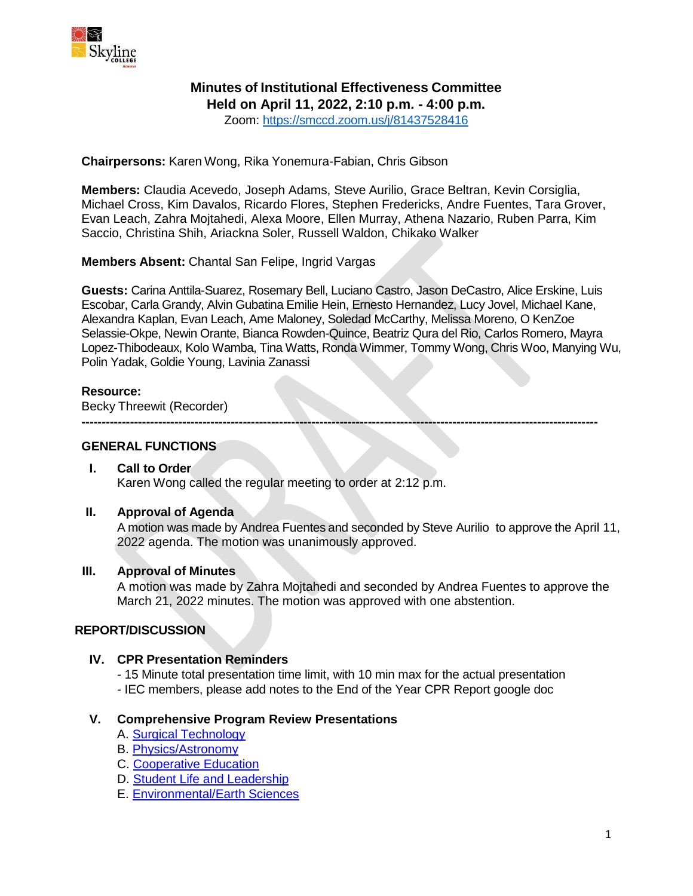

# **Minutes of Institutional Effectiveness Committee**

**Held on April 11, 2022, 2:10 p.m. - 4:00 p.m.**

Zoom: <https://smccd.zoom.us/j/81437528416>

**Chairpersons:** Karen Wong, Rika Yonemura-Fabian, Chris Gibson

**Members:** Claudia Acevedo, Joseph Adams, Steve Aurilio, Grace Beltran, Kevin Corsiglia, Michael Cross, Kim Davalos, Ricardo Flores, Stephen Fredericks, Andre Fuentes, Tara Grover, Evan Leach, Zahra Mojtahedi, Alexa Moore, Ellen Murray, Athena Nazario, Ruben Parra, Kim Saccio, Christina Shih, Ariackna Soler, Russell Waldon, Chikako Walker

**Members Absent:** Chantal San Felipe, Ingrid Vargas

**Guests:** Carina Anttila-Suarez, Rosemary Bell, Luciano Castro, Jason DeCastro, Alice Erskine, Luis Escobar, Carla Grandy, Alvin Gubatina Emilie Hein, Ernesto Hernandez, Lucy Jovel, Michael Kane, Alexandra Kaplan, Evan Leach, Ame Maloney, Soledad McCarthy, Melissa Moreno, O KenZoe Selassie-Okpe, Newin Orante, Bianca Rowden-Quince, Beatriz Qura del Rio, Carlos Romero, Mayra Lopez-Thibodeaux, Kolo Wamba, Tina Watts, Ronda Wimmer, Tommy Wong, Chris Woo, Manying Wu, Polin Yadak, Goldie Young, Lavinia Zanassi

**--------------------------------------------------------------------------------------------------------------------------------**

## **Resource:**

Becky Threewit (Recorder)

### **GENERAL FUNCTIONS**

## **I. Call to Order**

Karen Wong called the regular meeting to order at 2:12 p.m.

#### **II. Approval of Agenda**

A motion was made by Andrea Fuentes and seconded by Steve Aurilio to approve the April 11, 2022 agenda. The motion was unanimously approved.

### **III. Approval of Minutes**

A motion was made by Zahra Mojtahedi and seconded by Andrea Fuentes to approve the March 21, 2022 minutes. The motion was approved with one abstention.

## **REPORT/DISCUSSION**

## **IV. CPR Presentation Reminders**

- 15 Minute total presentation time limit, with 10 min max for the actual presentation - IEC members, please add notes to the End of the Year CPR Report google doc

#### **V. Comprehensive Program Review Presentations**

- A. [Surgical Technology](https://www.skylinecollege.edu/iec/assets/agendas/2021-2022/Surg%20Anesthesia%20Tech%20CPR%202022.pdf)
- B. [Physics/Astronomy](https://www.skylinecollege.edu/iec/assets/agendas/2021-2022/Physics%20Astronomy%20CPR%20%202022.pdf)
- C. [Cooperative Education](https://www.skylinecollege.edu/iec/assets/agendas/2021-2022/Cooperative%20Education%20CPR%202022.pdf)
- D. [Student Life and Leadership](https://www.skylinecollege.edu/iec/assets/agendas/2021-2022/Student%20Life%20CPR%20%202022.pdf)
- E. [Environmental/Earth Sciences](https://www.skylinecollege.edu/iec/assets/agendas/2021-2022/Earth%20Env%20CPR%202022.pdf)